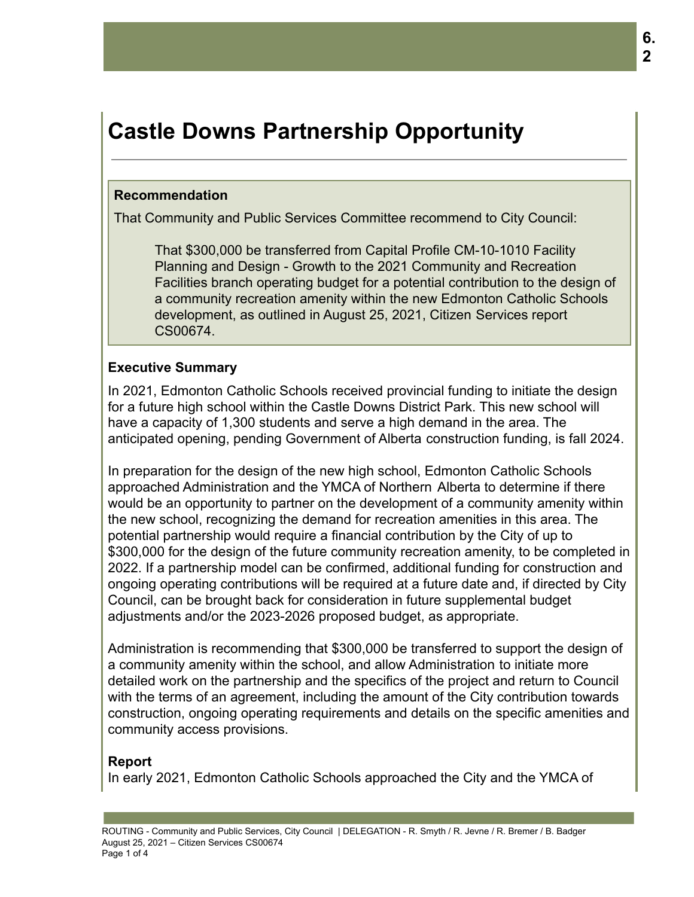# **Castle Downs Partnership Opportunity**

#### **Recommendation**

That Community and Public Services Committee recommend to City Council:

That \$300,000 be transferred from Capital Profile CM-10-1010 Facility Planning and Design - Growth to the 2021 Community and Recreation Facilities branch operating budget for a potential contribution to the design of a community recreation amenity within the new Edmonton Catholic Schools development, as outlined in August 25, 2021, Citizen Services report CS00674.

## **Executive Summary**

In 2021, Edmonton Catholic Schools received provincial funding to initiate the design for a future high school within the Castle Downs District Park. This new school will have a capacity of 1,300 students and serve a high demand in the area. The anticipated opening, pending Government of Alberta construction funding, is fall 2024.

In preparation for the design of the new high school, Edmonton Catholic Schools approached Administration and the YMCA of Northern Alberta to determine if there would be an opportunity to partner on the development of a community amenity within the new school, recognizing the demand for recreation amenities in this area. The potential partnership would require a financial contribution by the City of up to \$300,000 for the design of the future community recreation amenity, to be completed in 2022. If a partnership model can be confirmed, additional funding for construction and ongoing operating contributions will be required at a future date and, if directed by City Council, can be brought back for consideration in future supplemental budget adjustments and/or the 2023-2026 proposed budget, as appropriate.

Administration is recommending that \$300,000 be transferred to support the design of a community amenity within the school, and allow Administration to initiate more detailed work on the partnership and the specifics of the project and return to Council with the terms of an agreement, including the amount of the City contribution towards construction, ongoing operating requirements and details on the specific amenities and community access provisions.

# **Report**

In early 2021, Edmonton Catholic Schools approached the City and the YMCA of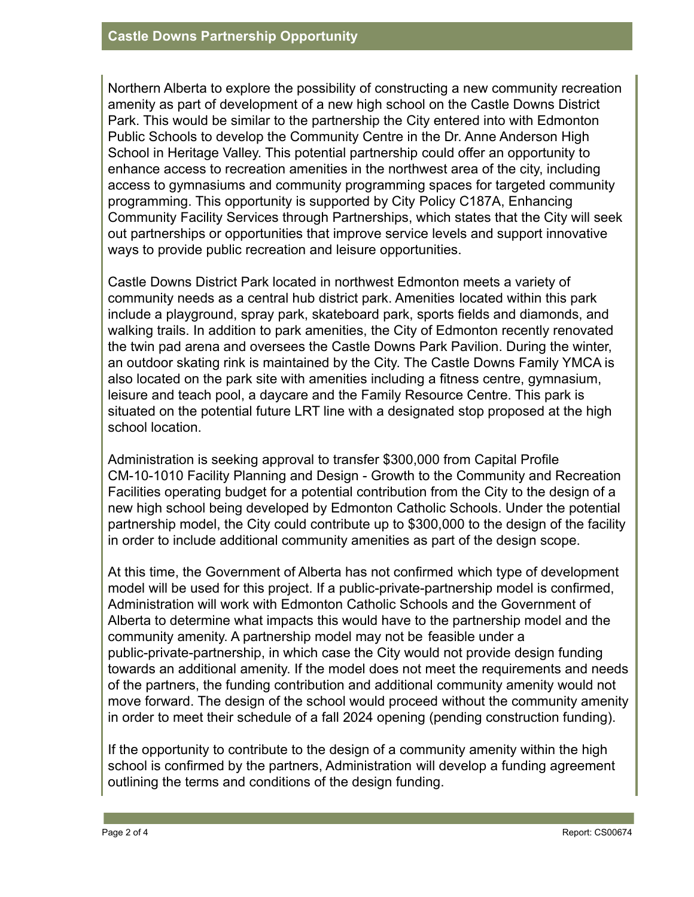Northern Alberta to explore the possibility of constructing a new community recreation amenity as part of development of a new high school on the Castle Downs District Park. This would be similar to the partnership the City entered into with Edmonton Public Schools to develop the Community Centre in the Dr. Anne Anderson High School in Heritage Valley. This potential partnership could offer an opportunity to enhance access to recreation amenities in the northwest area of the city, including access to gymnasiums and community programming spaces for targeted community programming. This opportunity is supported by City Policy C187A, Enhancing Community Facility Services through Partnerships, which states that the City will seek out partnerships or opportunities that improve service levels and support innovative ways to provide public recreation and leisure opportunities.

Castle Downs District Park located in northwest Edmonton meets a variety of community needs as a central hub district park. Amenities located within this park include a playground, spray park, skateboard park, sports fields and diamonds, and walking trails. In addition to park amenities, the City of Edmonton recently renovated the twin pad arena and oversees the Castle Downs Park Pavilion. During the winter, an outdoor skating rink is maintained by the City. The Castle Downs Family YMCA is also located on the park site with amenities including a fitness centre, gymnasium, leisure and teach pool, a daycare and the Family Resource Centre. This park is situated on the potential future LRT line with a designated stop proposed at the high school location.

Administration is seeking approval to transfer \$300,000 from Capital Profile CM-10-1010 Facility Planning and Design - Growth to the Community and Recreation Facilities operating budget for a potential contribution from the City to the design of a new high school being developed by Edmonton Catholic Schools. Under the potential partnership model, the City could contribute up to \$300,000 to the design of the facility in order to include additional community amenities as part of the design scope.

At this time, the Government of Alberta has not confirmed which type of development model will be used for this project. If a public-private-partnership model is confirmed, Administration will work with Edmonton Catholic Schools and the Government of Alberta to determine what impacts this would have to the partnership model and the community amenity. A partnership model may not be feasible under a public-private-partnership, in which case the City would not provide design funding towards an additional amenity. If the model does not meet the requirements and needs of the partners, the funding contribution and additional community amenity would not move forward. The design of the school would proceed without the community amenity in order to meet their schedule of a fall 2024 opening (pending construction funding).

If the opportunity to contribute to the design of a community amenity within the high school is confirmed by the partners, Administration will develop a funding agreement outlining the terms and conditions of the design funding.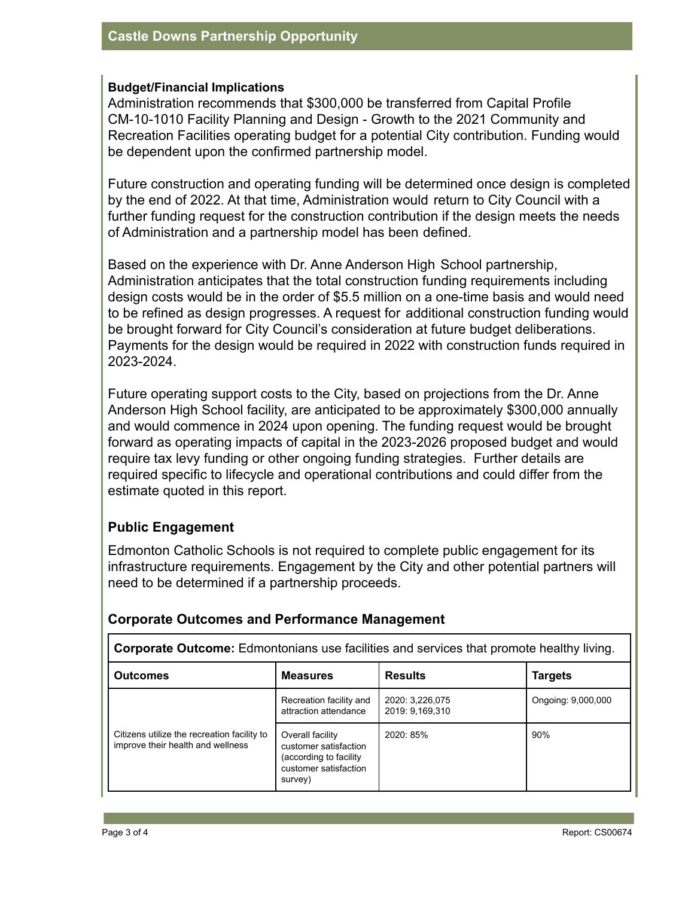#### **Budget/Financial Implications**

Administration recommends that \$300,000 be transferred from Capital Profile CM-10-1010 Facility Planning and Design - Growth to the 2021 Community and Recreation Facilities operating budget for a potential City contribution. Funding would be dependent upon the confirmed partnership model.

Future construction and operating funding will be determined once design is completed by the end of 2022. At that time, Administration would return to City Council with a further funding request for the construction contribution if the design meets the needs of Administration and a partnership model has been defined.

Based on the experience with Dr. Anne Anderson High School partnership, Administration anticipates that the total construction funding requirements including design costs would be in the order of \$5.5 million on a one-time basis and would need to be refined as design progresses. A request for additional construction funding would be brought forward for City Council's consideration at future budget deliberations. Payments for the design would be required in 2022 with construction funds required in 2023-2024.

Future operating support costs to the City, based on projections from the Dr. Anne Anderson High School facility, are anticipated to be approximately \$300,000 annually and would commence in 2024 upon opening. The funding request would be brought forward as operating impacts of capital in the 2023-2026 proposed budget and would require tax levy funding or other ongoing funding strategies. Further details are required specific to lifecycle and operational contributions and could differ from the estimate quoted in this report.

## **Public Engagement**

Edmonton Catholic Schools is not required to complete public engagement for its infrastructure requirements. Engagement by the City and other potential partners will need to be determined if a partnership proceeds.

| <b>Corporate Outcome:</b> Edmontonians use facilities and services that promote healthy living. |                                                                                                          |                |                    |  |  |  |  |
|-------------------------------------------------------------------------------------------------|----------------------------------------------------------------------------------------------------------|----------------|--------------------|--|--|--|--|
| <b>Outcomes</b>                                                                                 | <b>Measures</b>                                                                                          | <b>Results</b> | Targets            |  |  |  |  |
| Citizens utilize the recreation facility to<br>improve their health and wellness                | Recreation facility and<br>2020: 3.226.075<br>attraction attendance<br>2019: 9.169.310                   |                | Ongoing: 9,000,000 |  |  |  |  |
|                                                                                                 | Overall facility<br>customer satisfaction<br>(according to facility)<br>customer satisfaction<br>survey) | 2020: 85%      | 90%                |  |  |  |  |

## **Corporate Outcomes and Performance Management**